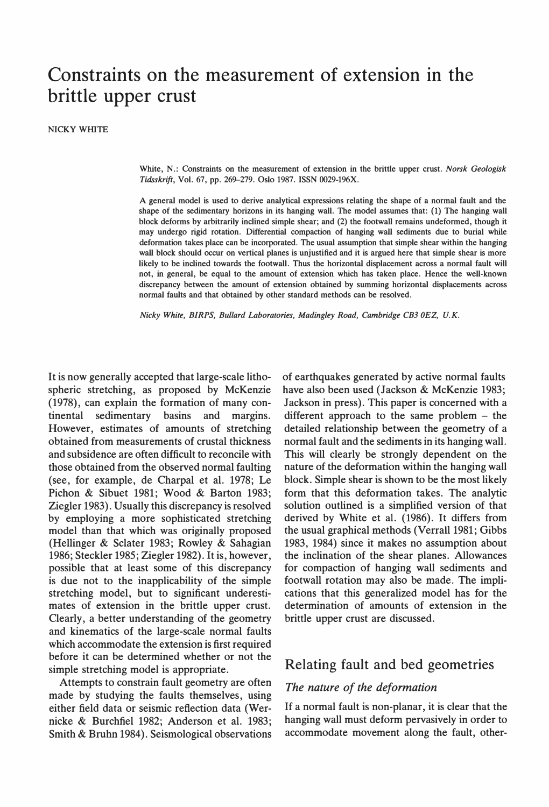# Constraints on the measurement of extension in the brittle upper crust

NICKY WHITE

White, N.: Constraints on the measurement of extension in the brittle upper crust. Norsk Geologisk Tidsskrift, Vol. 67, pp. 269-279. Oslo 1987. ISSN 0029-196X.

A general model is used to derive analytical expressions relating the shape of a normal fault and the shape of the sedimentary horizons in its hanging wall. The model assumes that: (1) The hanging wall block deforms by arbitrarily inclined simple shear; and (2) the footwall remains undeformed, though it may undergo rigid rotation. Differential compaction of hanging wall sediments due to burial white deformation takes place can be incorporated. The usual assumption that simple shear within the hanging wall block should occur on vertical planes is unjustified and it is argued here that simple shear is more likely to be inclined towards the footwall. Thus the horizontal displacement across a normal fault will not, in general, be equal to the amount of extension which has taken place. Hence the well-known discrepancy between the amount of extension obtained by summing horizontal displacements across normal faults and that obtained by other standard methods can be resolved.

Nicky White, BJRPS, Bul/ard Laboratories, Madingley Road, Cambridge CB3 OEZ, U.K.

It is now generally accepted that large-scale lithospheric stretching, as proposed by McKenzie (1978), can explain the formation of many continental sedimentary basins and margins. However, estimates of amounts of stretching obtained from measurements of crustal thickness and subsidence are often difficult to reconcile with those obtained from the observed normal faulting (see, for example, de Charpal et al. 1978; Le Pichon & Sibuet 1981; Wood & Barton 1983; Ziegler 1983). Usually this discrepancy is resolved by employing a more sophisticated stretching model than that which was originally proposed (Hellinger & Sclater 1983; Rowley & Sahagian 1986; Steckler 1985; Ziegler 1982). 1t is, however, possible that at least some of this discrepancy is due not to the inapplicability of the simple stretching model, but to significant underestimates of extension in the brittle upper crust. Clearly, a better understanding of the geometry and kinematics of the large-scale normal faults which accommodate the extension is first required before it can be determined whether or not the simple stretching model is appropriate.

Attempts to constrain fault geometry are often made by studying the faults themselves, using either field data or seismic reflection data (Wernicke & Burchfiel 1982; Anderson et al. 1983; Smith & Bruhn 1984). Seismological observations of earthquakes generated by active normal faults have also been used (Jackson & McKenzie 1983; Jackson in press). This paper is concerned with a different approach to the same problem – the detailed relationship between the geometry of a normal fault and the sediments in its hanging wall. This will clearly be strongly dependent on the nature of the deformation within the hanging wall block. Simple shear is shown to be the most likely form that this deformation takes. The analytic solution outlined is a simplified version of that derived by White et al. (1986). It differs from the usual graphical methods (Verrall 1981; Gibbs 1983, 1984) since it makes no assumption about the inclination of the shear planes. Allowances for compaction of hanging wall sediments and footwall rotation may also be made. The implications that this generalized model has for the determination of amounts of extension in the brittle upper crust are discussed.

### Relating fault and bed geometries

### The nature of the deformation

If a normal fault is non-planar, it is clear that the hanging wall must deform pervasively in order to accommodate movement along the fault, other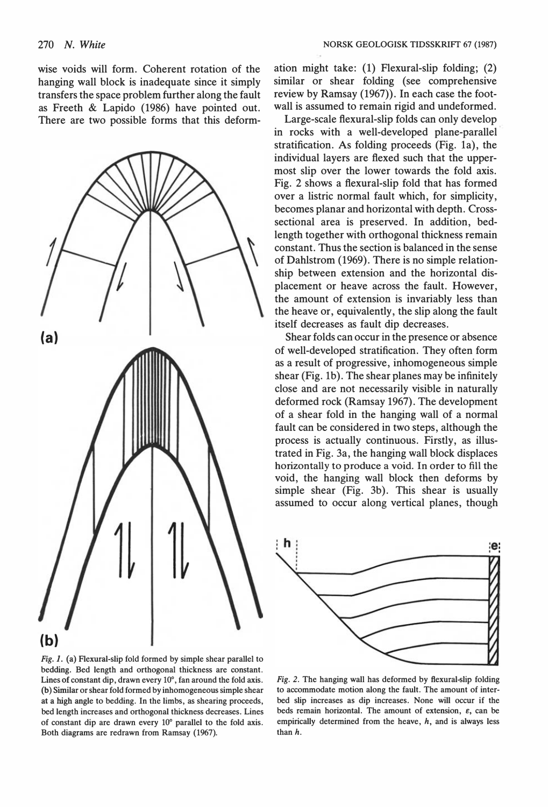wise voids will form. Coherent rotation of the hanging wall block is inadequate since it simply transfers the space problem further along the fault as Freeth & Lapido (1986) have pointed out. There are two possible forms that this deform-



Fig. 1. (a) Flexural-slip fold formed by simple shear parallel to bedding. Bed length and orthogonal thickness are constant. Lines of constant dip, drawn every 10°, fan around the fold axis. (b) Similar or shear fold formed by inhomogeneous simple shear at a high angle to bedding. In the limbs, as shearing proceeds, bed length increases and orthogonal thickness decreases. Lines of constant dip are drawn every 10° parallel to the fold axis. Both diagrams are redrawn from Ramsay (1967).

ation might take: (l) Flexural-slip folding; (2) similar or shear folding (see comprehensive review by Ramsay (1967)). In each case the footwall is assumed to remain rigid and undeformed.

Large-scale fiexural-slip folds can only develop in rocks with a well-developed plane-parallel stratification. As folding proceeds (Fig. la), the individual layers are fiexed such that the uppermost slip over the lower towards the fold axis. Fig. 2 shows a fiexural-slip fold that has formed over a listric normal fault which, for simplicity, becomes planar and horizontal with depth. Crosssectional area is preserved. In addition, bedlength together with orthogonal thickness remain constant. Thus the section is balanced in the sense of Dahlstrom (1969). There is no simple relationship between extension and the horizontal displacement or heave across the fault. However, the amount of extension is invariably less than the heave or, equivalently, the slip along the fault itself decreases as fault dip decreases.

Shear folds can occur in the presence or absence of well-developed stratification. They often form as a result of progressive, inhomogeneous simple shear (Fig. lb). The shear planes may be infinitely close and are not necessarily visible in naturally deformed rock (Ramsay 1967). The development of a shear fold in the hanging wall of a normal fault can be considered in two steps, although the process is actually continuous. Firstly, as illustrated in Fig. 3a, the hanging wall block displaces horizontally to produce a void. In order to fill the void, the hanging wall block then deforms by simple shear (Fig. 3b). This shear is usually assumed to occur along vertical planes, though



Fig. 2. The hanging wall has deformed by ftexural-slip folding to accommodate motion along the fault. The amount of interbed slip increases as dip increases. None will occur if the beds remain horizontal. The amount of extension,  $\varepsilon$ , can be empirically determined from the heave,  $h$ , and is always less than h.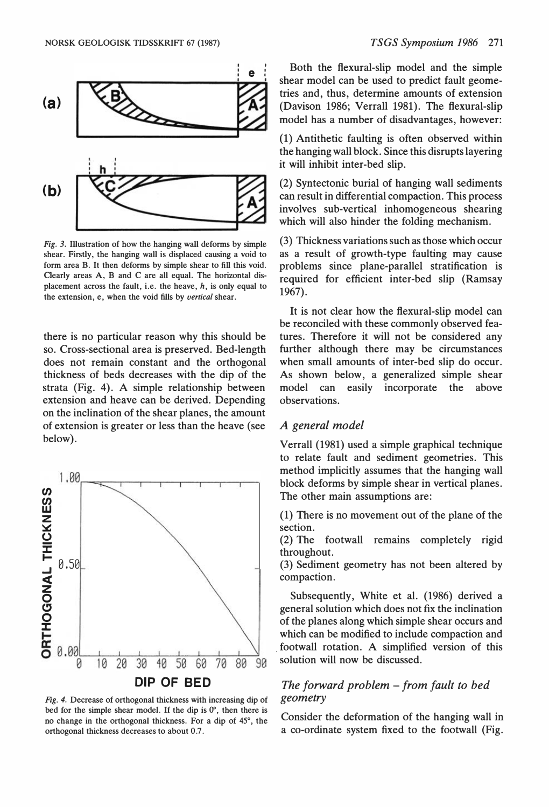

Fig. 3. Illustration of how the hanging wall deforms by simple shear. Firstly, the hanging wall is displaced causing a void to form area B. It then deforms by simple shear to fill this void. Oearly areas A, B and C are all equal. The horizontal displacement across the fault, i.e. the heave,  $h$ , is only equal to the extension, e, when the void fills by *vertical* shear.

there is no particular reason why this should be so. Cross-sectional area is preserved. Bed-length does not remain constant and the orthogonal thickness of beds decreases with the dip of the strata (Fig. 4). A simple relationship between extension and heave can be derived. Depending on the inclination of the shear planes, the amount of extension is greater or less than the heave (see below).



Fig. 4. Decrease of orthogonal thickness with increasing dip of bed for the simple shear model. If the dip is  $0^\circ$ , then there is no change in the orthogonal thickness. For a dip of 45°, the orthogonal thickness decreases to about 0.7.

Both the flexural-slip model and the simple shear model can be used to predict fault geometries and, thus, determine amounts of extension (Davison 1986; Verrall 1981). The flexural-slip model has a number of disadvantages, however:

(l) Antithetic faulting is often observed within the hanging wall block. Since this disrupts layering it will inhibit inter-bed slip.

 $(2)$  Syntectonic burial of hanging wall sediments can result in differential compaction. This process involves sub-vertical inhomogeneous shearing which will also hinder the folding mechanism.

(3) Thickness variations such as those which occur as a result of growth-type faulting may cause problems since plane-parallel stratification is required for efficient inter-bed slip (Ramsay 1967).

It is not clear bow the ftexural-slip model can be reconciled with these commonly observed features. Therefore it will not be considered any further although there may be circumstances when small amounts of inter-bed slip do occur. As shown below, a generalized simple shear model can easily incorporate the above observations.

### A general model

Verrall (1981) used a simple graphical technique to relate fault and sediment geometries. This method implicitly assumes that the hanging wall block deforms by simple shear in vertical planes. The other main assumptions are:

(l) There is no movement out of the plane of the section.

(2) The footwall remains completely rigid throughout.

(3) Sediment geometry has not been altered by compaction.

Subsequently, White et al. (1986) derived a general solution which does not fix the inclination of the planes along which simple shear occurs and which can be modified to include compaction and footwall rotation. A simplified version of this solution will now be discussed.

### The forward problem  $-$  from fault to bed geometry

Consider the deformation of the hanging wall in a co-ordinate system fixed to the footwall (Fig.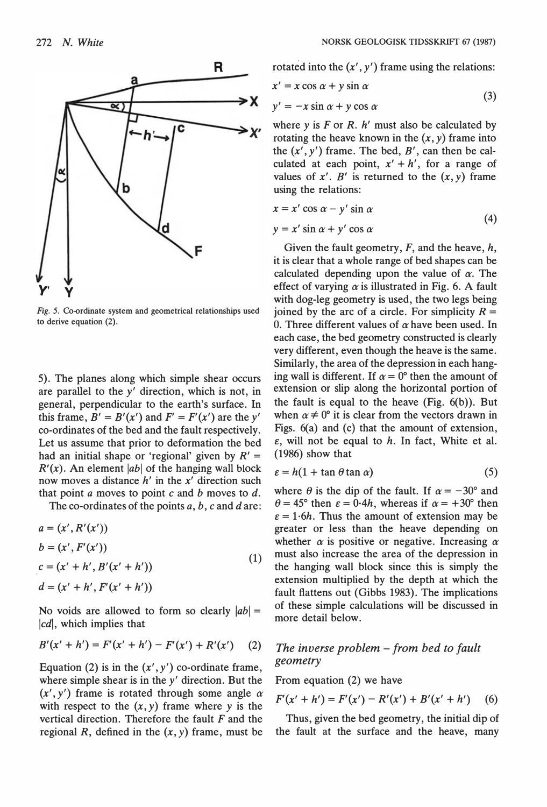

$$
x' = x \cos \alpha + y \sin \alpha
$$
  

$$
y' = -x \sin \alpha + y \cos \alpha
$$
 (3)

where y is  $F$  or  $R$ .  $h'$  must also be calculated by rotating the heave known in the  $(x, y)$  frame into the  $(x', y')$  frame. The bed,  $B'$ , can then be calculated at each point,  $x' + h'$ , for a range of values of  $x'$ . B' is returned to the  $(x, y)$  frame using the relations:

$$
x = x' \cos \alpha - y' \sin \alpha \tag{4}
$$

$$
y = x' \sin \alpha + y' \cos \alpha
$$

Given the fault geometry,  $F$ , and the heave,  $h$ , it is clear that a whole range of bed shapes can be calculated depending upon the value of  $\alpha$ . The effect of varying  $\alpha$  is illustrated in Fig. 6. A fault with dog-leg geometry is used, the two legs being joined by the arc of a circle. For simplicity  $R =$ 0. Three different values of  $\alpha$  have been used. In each case, the bed geometry constructed is clearly very different, even though the heave is the same. Similarly, the area of the depression in each hanging wall is different. If  $\alpha = 0^{\circ}$  then the amount of extension or slip along the horizontal portion of the fault is equal to the heave  $(Fig. 6(b))$ . But when  $\alpha \neq 0^{\circ}$  it is clear from the vectors drawn in Figs. 6(a) and (c) that the amount of extension,  $\varepsilon$ , will not be equal to h. In fact, White et al. (1986) show that

$$
\varepsilon = h(1 + \tan \theta \tan \alpha) \tag{5}
$$

where  $\theta$  is the dip of the fault. If  $\alpha = -30^{\circ}$  and  $\theta = 45^{\circ}$  then  $\varepsilon = 0.4h$ , whereas if  $\alpha = +30^{\circ}$  then  $\varepsilon = 1.6h$ . Thus the amount of extension may be greater or less than the heave depending on whether  $\alpha$  is positive or negative. Increasing  $\alpha$ must also increase the area of the depression in the hanging wall block since this is simply the extension multiplied by the depth at which the fault flattens out (Gibbs 1983). The implications of these simple calculations will be discussed in more detail below.

### The inverse problem  $-$  from bed to fault geometry

From equation (2) we have

$$
F'(x'+h') = F'(x') - R'(x') + B'(x'+h')
$$
 (6)

Thus, given the bed geometry, the initial dip of the fault at the surface and the heave, many



Fig. 5. Co-ordinate system and geometrical relationships used to derive equation (2).

5). The planes along which simple shear occurs are parallel to the  $y'$  direction, which is not, in general, perpendicular to the earth's surface. In this frame,  $B' = B'(x')$  and  $F' = F'(x')$  are the y' co-ordinates of the bed and the fault respectively. Let us assume that prior to deformation the bed had an initial shape or 'regional' given by  $R' =$  $R'(x)$ . An element |ab| of the hanging wall block now moves a distance  $h'$  in the  $x'$  direction such that point  $a$  moves to point  $c$  and  $b$  moves to  $d$ .

The co-ordinates of the points  $a, b, c$  and  $d$  are:

$$
a = (x', R'(x'))\n b = (x', F'(x'))\n c = (x' + h', B'(x' + h'))\n d = (x' + h', F'(x' + h'))
$$
\n(1)

No voids are allowed to form so clearly  $|ab|$  =  $|cd|$ , which implies that

$$
B'(x'+h') = F'(x'+h') - F'(x') + R'(x') \qquad (2)
$$

Equation (2) is in the  $(x', y')$  co-ordinate frame, where simple shear is in the  $y'$  direction. But the  $(x', y')$  frame is rotated through some angle  $\alpha$ with respect to the  $(x, y)$  frame where y is the vertical direction. Therefore the fault  $F$  and the regional R, defined in the  $(x, y)$  frame, must be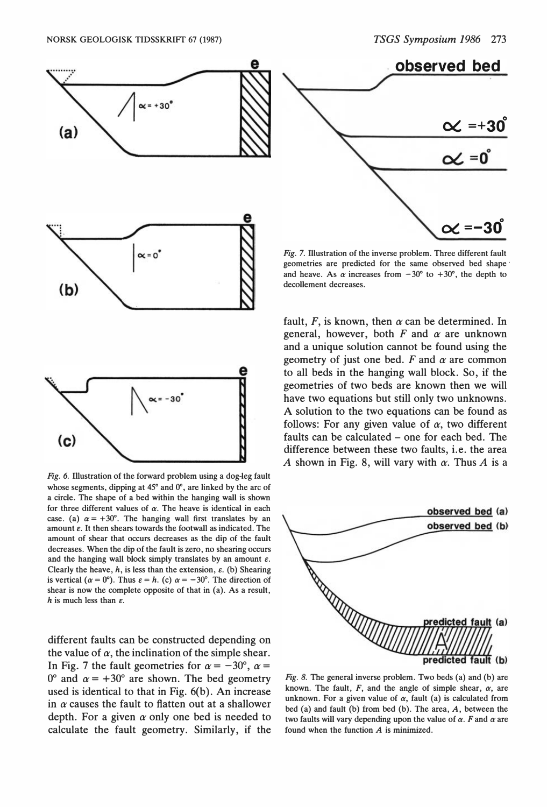$\propto$  =+30 $\degree$ 

 $\alpha$  =–30 $\degree$ 



Fig. 6. IUustration of the forward problem using a dog-leg fault whose segments, dipping at 45° and 0°, are linked by the arc of a circle. The shape of a bed within the hanging wall is shown for three different values of  $\alpha$ . The heave is identical in each case. (a)  $\alpha = +30^{\circ}$ . The hanging wall first translates by an amount  $\varepsilon$ . It then shears towards the footwall as indicated. The amount of shear that occurs decreases as the dip of the fault decreases. When the dip of the fault is zero, no shearing occurs and the hanging wall block simply translates by an amount  $\varepsilon$ . Clearly the heave,  $h$ , is less than the extension,  $\varepsilon$ . (b) Shearing is vertical ( $\alpha = 0^{\circ}$ ). Thus  $\varepsilon = h$ . (c)  $\alpha = -30^{\circ}$ . The direction of shear is now the complete opposite of that in (a). As a result, h is much less than  $\varepsilon$ .

different faults can be constructed depending on the value of  $\alpha$ , the inclination of the simple shear. In Fig. 7 the fault geometries for  $\alpha = -30^{\circ}$ ,  $\alpha =$ 0° and  $\alpha = +30$ ° are shown. The bed geometry used is identical to that in Fig. 6(b). An increase in  $\alpha$  causes the fault to flatten out at a shallower depth. For a given  $\alpha$  only one bed is needed to calculate the fault geometry. Similarly, if the

fault, F, is known, then  $\alpha$  can be determined. In general, however, both  $F$  and  $\alpha$  are unknown and a unique solution cannot be found using the geometry of just one bed.  $F$  and  $\alpha$  are common to all beds in the hanging wall block. So, if the geometries of two beds are known then we will have two equations but still only two unknowns. A solution to the two equations can be found as follows: For any given value of  $\alpha$ , two different faults can be calculated – one for each bed. The difference between these two faults, i.e. the area A shown in Fig. 8, will vary with  $\alpha$ . Thus A is a



Fig. 8. The general inverse problem. Two beds (a) and (b) are known. The fault,  $F$ , and the angle of simple shear,  $\alpha$ , are unknown. For a given value of  $\alpha$ , fault (a) is calculated from bed (a) and fault (b) from bed (b). The area, A, between the two faults will vary depending upon the value of  $\alpha$ . F and  $\alpha$  are found when the function A is minimized.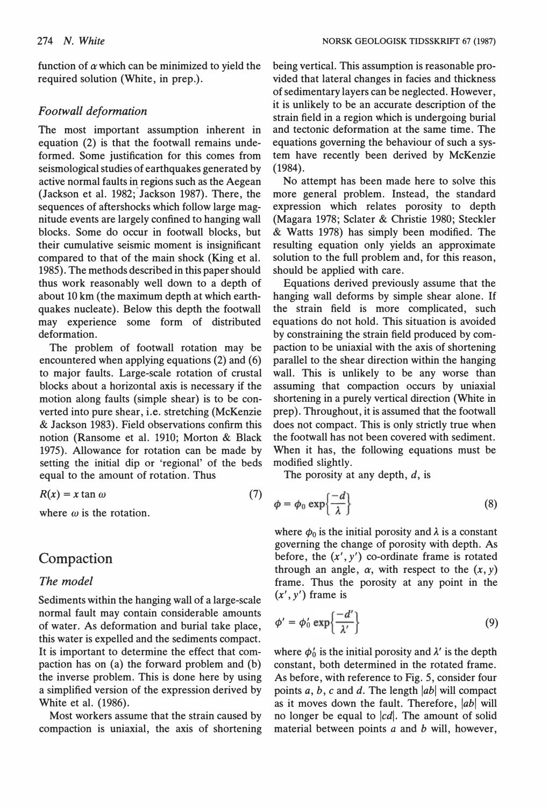function of  $\alpha$  which can be minimized to yield the required solution (White, in prep.).

### Footwall deformation

The most important assumption inherent in equation (2) is that the footwall remains undeformed. Some justification for this comes from seismological studies of earthquakes generated by active normal faults in regions such as the Aegean (Jackson et al. 1982; Jackson 1987). There, the sequences of aftershocks which follow large magnitude events are largely confined to hanging wall blocks. Some do occur in footwall blocks, but their cumulative seismic moment is insignificant compared to that of the main shock (King et al. 1985). The methods described in this paper should thus work reasonably well down to a depth of about 10 km (the maximum depth at which earthquakes nucleate). Below this depth the footwall may experience some form of distributed deformation.

The problem of footwall rotation may be encountered when applying equations (2) and (6) to major faults. Large-scale rotation of crustal blocks about a horizontal axis is necessary if the motion along faults (simple shear) is to be converted into pure shear, i.e. stretching (McKenzie & Jackson 1983). Field observations confirm this notion (Ransome et al. 1910; Morton & Black 1975). Allowance for rotation can be made by setting the initial dip or 'regional' of the beds equal to the amount of rotation. Thus

$$
R(x) = x \tan \omega \tag{7}
$$

where  $\omega$  is the rotation.

# Compaction

#### The model

Sediments within the hanging wall of a large-scale normal fault may contain considerable amounts of water. As deformation and burial take place, this water is expelled and the sediments compact. It is important to determine the effect that compaction has on (a) the forward problem and (b) the inverse problem. This is done here by using a simplified version of the expression derived by White et al. (1986).

Most workers assume that the strain caused by compaction is uniaxial, the axis of shortening being vertical. This assumption is reasonable provided that lateral changes in facies and thickness of sedimentary layers can be neglected. However, it is unlikely to be an accurate description of the strain field in a region which is undergoing burial and tectonic deformation at the same time. The equations governing the behaviour of such a system have recently been derived by McKenzie (1984).

No attempt has been made here to solve this more general problem. Instead, the standard expression which relates porosity to depth (Magara 1978; Sclater & Christie 1980; Steckler & Watts 1978) has simply been modified. The resulting equation only yields an approximate solution to the full problem and, for this reason, should be applied with care.

Equations derived previously assume that the hanging wall deforms by simple shear alone. If the strain field is more complicated, such equations do not hold. This situation is avoided by constraining the strain field produced by compaction to be uniaxial with the axis of shortening parallel to the shear direction within the hanging wall. This is unlikely to be any worse than assuming that compaction occurs by uniaxial shortening in a purely vertical direction (White in prep). Throughout, it is assumed that the footwall does not compact. This is only strictly true when the footwall has not been covered with sediment. When it has, the following equations must be modified slightly.

The porosity at any depth,  $d$ , is

$$
\phi = \phi_0 \exp\left\{\frac{-d}{\lambda}\right\} \tag{8}
$$

where  $\phi_0$  is the initial porosity and  $\lambda$  is a constant governing the change of porosity with depth. As before, the  $(x', y')$  co-ordinate frame is rotated through an angle,  $\alpha$ , with respect to the  $(x, y)$ frame. Thus the porosity at any point in the  $(x', y')$  frame is

$$
\phi' = \phi'_0 \exp\left\{\frac{-d'}{\lambda'}\right\} \tag{9}
$$

where  $\phi'_0$  is the initial porosity and  $\lambda'$  is the depth constant, both determined in the rotated frame. As before, with reference to Fig. 5, consider four points  $a, b, c$  and  $d$ . The length  $|ab|$  will compact as it moves down the fault. Therefore,  $|ab|$  will no longer be equal to  $|cd|$ . The amount of solid material between points  $a$  and  $b$  will, however,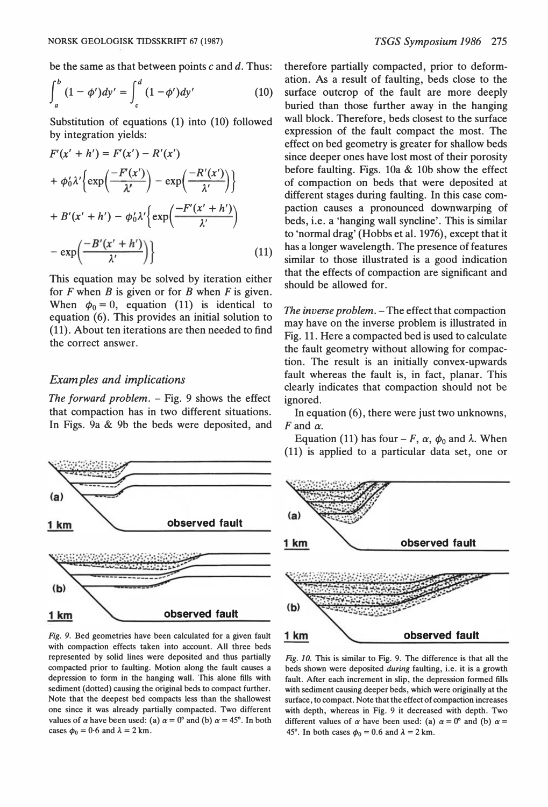$$
\int_{a}^{b} (1 - \phi') dy' = \int_{c}^{d} (1 - \phi') dy'
$$
 (10)

Substitution of equations (1) into (10) followed by integration yields:

$$
F'(x' + h') = F'(x') - R'(x')
$$
  
+  $\phi'_0 \lambda' \left\{ \exp\left(\frac{-F'(x')}{\lambda'}\right) - \exp\left(\frac{-R'(x')}{\lambda'}\right) \right\}$   
+  $B'(x' + h') - \phi'_0 \lambda' \left\{ \exp\left(\frac{-F'(x' + h')}{\lambda'}\right) - \exp\left(\frac{-B'(x' + h')}{\lambda'}\right) \right\}$  (11)

This equation may be solved by iteration either for  $F$  when  $B$  is given or for  $B$  when  $F$  is given. When  $\phi_0 = 0$ , equation (11) is identical to equation (6). This provides an initial solution to (11). About ten iterations are then needed to find the correct answer.

#### Examples and implications

The forward problem.  $-$  Fig. 9 shows the effect that compaction has in two different situations. In Figs. 9a & 9b the beds were deposited, and



Fig. 9. Bed geometries have been calculated for a given fault with compaction effects taken into account. All three beds represented by solid lines were deposited and thus partially compacted prior to faulting. Motion along the fault causes a depression to form in the hanging wall. 'Ibis alone fills with sediment (dotted) causing the original beds to compact further. Note that the deepest bed compacts less than the shallowest one since it was already partially compacted. Two different values of  $\alpha$  have been used: (a)  $\alpha = 0^{\circ}$  and (b)  $\alpha = 45^{\circ}$ . In both cases  $\phi_0 = 0.6$  and  $\lambda = 2$  km.

therefore partially compacted, prior to deformation. As a result of faulting, beds dose to the surface outcrop of the fault are more deeply buried than those further away in the hanging wall block. Therefore, beds closest to the surface expression of the fault compact the most. The effect on bed geometry is greater for shallow beds since deeper ones have lost most of their porosity before faulting. Figs.  $10a \& 10b$  show the effect of compaction on beds that were deposited at different stages during faulting. In this case compaction causes a pronounced downwarping of beds, i.e. a 'hanging wall syncline'. This is similar to 'normal drag' (Hobbs et al. 1976), except that it has a longer wavelength. The presence of features similar to those illustrated is a good indication that the effects of compaction are significant and should be allowed for.

The inverse problem. - The effect that compaction may have on the inverse problem is illustrated in Fig. 11. Here a compacted bed is used to calculate the fault geometry without allowing for compaction. The result is an initially convex-upwards fault whereas the fault is, in fact, planar. This clearly indicates that compaction should not be ignored.

In equation (6), there were just two unknowns,  $F$  and  $\alpha$ .

Equation (11) has four – F,  $\alpha$ ,  $\phi_0$  and  $\lambda$ . When (11) is applied to a particular data set, one or



Fig. JO. This is similar to Fig. 9. The difference is that all the beds shown were deposited during faulting, i.e. it is a growth fault. After each increment in slip, the depression formed fills with sediment causing deeper beds, which were originally at the surface, to compact. Note that the effect of compaction increases with depth, whereas in Fig. 9 it decreased with depth. Two different values of  $\alpha$  have been used: (a)  $\alpha = 0^{\circ}$  and (b)  $\alpha =$ 45°. In both cases  $\phi_0 = 0.6$  and  $\lambda = 2$  km.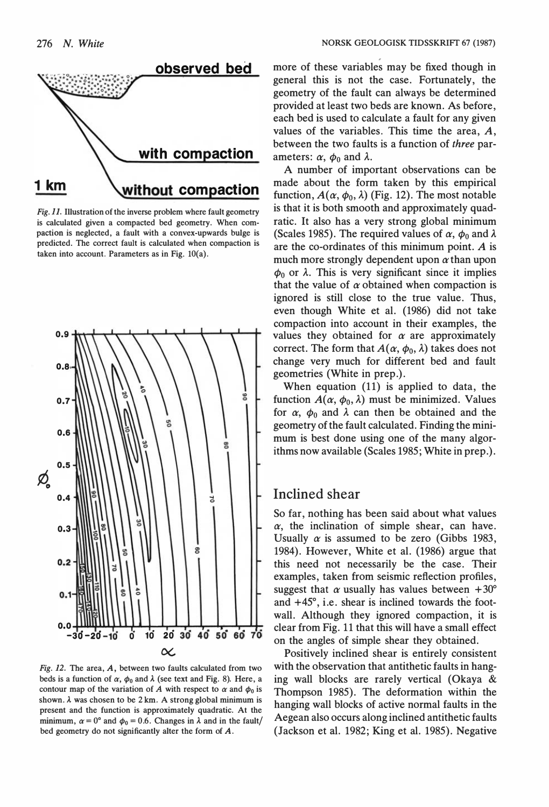

Fig. 11. Illustration of the inverse problem where fault geometry is calculated given a compacted bed geometry. When compaction is neglected, a fault with a convex-upwards bulge is predicted. The correct fault is calculated when compaction is taken into account. Parameters as in Fig.  $10(a)$ .



Fig. 12. The area,  $A$ , between two faults calculated from two beds is a function of  $\alpha$ ,  $\phi_0$  and  $\lambda$  (see text and Fig. 8). Here, a contour map of the variation of A with respect to  $\alpha$  and  $\phi_0$  is shown.  $\lambda$  was chosen to be 2 km. A strong global minimum is present and the function is approximately quadratic. At the minimum,  $\alpha = 0^{\circ}$  and  $\phi_0 = 0.6$ . Changes in  $\lambda$  and in the fault/ bed geometry do not significantly alter the form of A.

more of these variables may be fixed though in general this is not the case. Fortunately, the geometry of the fault can always be determined provided at least two beds are known. As before, each bed is used to calculate a fault for any given values of the variables. This time the area, A, between the two faults is a function of three parameters:  $\alpha$ ,  $\phi_0$  and  $\lambda$ .

A number of important observations can be made about the form taken by this empirical function,  $A(\alpha, \phi_0, \lambda)$  (Fig. 12). The most notable is that it is both smooth and approximately quadratic. It also has a very strong global minimum (Scales 1985). The required values of  $\alpha$ ,  $\phi_0$  and  $\lambda$ are the co-ordinates of this minimum point. A is much more strongly dependent upon  $\alpha$  than upon  $\phi_0$  or  $\lambda$ . This is very significant since it implies that the value of  $\alpha$  obtained when compaction is ignored is still dose to the true value. Thus, even though White et al. (1986) did not take compaction into account in their examples, the values they obtained for  $\alpha$  are approximately correct. The form that  $A(\alpha, \phi_0, \lambda)$  takes does not change very much for different bed and fault geometries (White in prep.).

When equation (11) is applied to data, the function  $A(\alpha, \phi_0, \lambda)$  must be minimized. Values for  $\alpha$ ,  $\phi_0$  and  $\lambda$  can then be obtained and the geometry of the fault calculated. Finding the minimum is best done using one of the many algorithms now available (Scales 1985; White in prep.).

### lnclined shear

So far, nothing has been said about what values  $\alpha$ , the inclination of simple shear, can have. Usually  $\alpha$  is assumed to be zero (Gibbs 1983, 1984). However, White et al. (1986) argue that this need not necessarily be the case. Their examples, taken from seismic reflection profiles, suggest that  $\alpha$  usually has values between +30° and +45°, i.e. shear is inclined towards the footwall. Although they ignored compaction, it is clear from Fig. 11 that this will have a small effect on the angles of simple shear they obtained.

Positively inclined shear is entirely consistent with the observation that antithetic faults in hanging wall blocks are rarely vertical (Okaya & Thompson 1985). The deformation within the hanging wall blocks of active normal faults in the Aegean also occurs along inclined antithetic faults (Jackson et al. 1982; King et al. 1985). Negative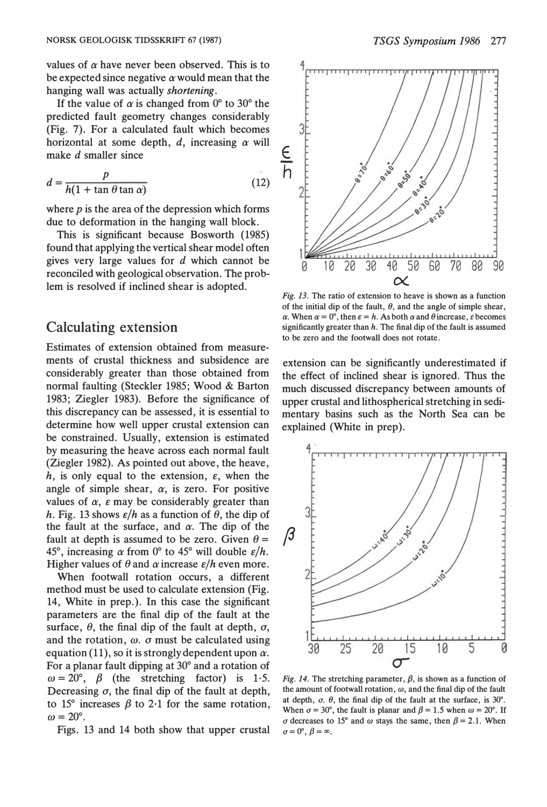values of  $\alpha$  have never been observed. This is to be expected since negative  $\alpha$  would mean that the hanging wall was actually shortening.

If the value of  $\alpha$  is changed from 0° to 30° the predicted fault geometry changes considerably (Fig. 7). For a calculated fault which becomes horizontal at some depth,  $d$ , increasing  $\alpha$  will make d smaller since

$$
d = \frac{p}{h(1 + \tan \theta \tan \alpha)}\tag{12}
$$

where  $p$  is the area of the depression which forms due to deformation in the hanging wall block.

This is significant because Bosworth (1985) found that applying the vertical shear model often gives very large values for d which cannot be reconciled with geological observation. The problem is resolved if inclined shear is adopted.

### Calculating extension

Estimates of extension obtained from measurements of crustal thickness and subsidence are considerably greater than those obtained from normal faulting (Steckler 1985; Wood & Barton 1983; Ziegler 1983). Before the significance of this discrepancy can be assessed, it is essential to determine bow well upper crustal extension can be constrained. Usually, extension is estimated by measuring the heave across each normal fault (Ziegler 1982). As pointed out above, the heave, h, is only equal to the extension,  $\varepsilon$ , when the angle of simple shear,  $\alpha$ , is zero. For positive values of  $\alpha$ ,  $\varepsilon$  may be considerably greater than h. Fig. 13 shows  $\varepsilon/h$  as a function of  $\theta$ , the dip of the fault at the surface, and  $\alpha$ . The dip of the fault at depth is assumed to be zero. Given  $\theta =$ 45°, increasing  $\alpha$  from 0° to 45° will double  $\varepsilon/h$ . Higher values of  $\theta$  and  $\alpha$  increase  $\varepsilon/h$  even more.

When footwall rotation occurs, a different method must be used to calculate extension (Fig. 14, White in prep.). In this case the significant parameters are the final dip of the fault at the surface,  $\theta$ , the final dip of the fault at depth,  $\sigma$ , and the rotation,  $\omega$ .  $\sigma$  must be calculated using equation (11), so it is strongly dependent upon  $\alpha$ . For a planar fault dipping at 30° and a rotation of  $\omega = 20^{\circ}$ ,  $\beta$  (the stretching factor) is 1.5. Decreasing  $\sigma$ , the final dip of the fault at depth, to 15° increases  $\beta$  to 2.1 for the same rotation,  $\omega = 20^{\circ}$ .

Figs. 13 and 14 both show that upper crustal



Fig. 13. The ratio of extension to heave is shown as a function of the initial dip of the fault,  $\theta$ , and the angle of simple shear,  $\alpha$ . When  $\alpha = 0^{\circ}$ , then  $\varepsilon = h$ . As both  $\alpha$  and  $\theta$  increase,  $\varepsilon$  becomes significantly greater than  $h$ . The final dip of the fault is assumed to be zero and the footwall does not rotate.

extension can be significantly underestimated if the effect of inclined shear is ignored. Thus the much discussed discrepancy between amounts of upper crustal and lithospherical stretching in sedimentary basins such as the North Sea can be explained (White in prep).



Fig. 14. The stretching parameter,  $\beta$ , is shown as a function of the amount of footwall rotation,  $\omega$ , and the final dip of the fault at depth,  $\sigma$ .  $\theta$ , the final dip of the fault at the surface, is 30°. When  $\sigma = 30^{\circ}$ , the fault is planar and  $\beta = 1.5$  when  $\omega = 20^{\circ}$ . If  $\sigma$  decreases to 15° and  $\omega$  stays the same, then  $\beta = 2.1$ . When  $\sigma=0^\circ, \beta=\infty.$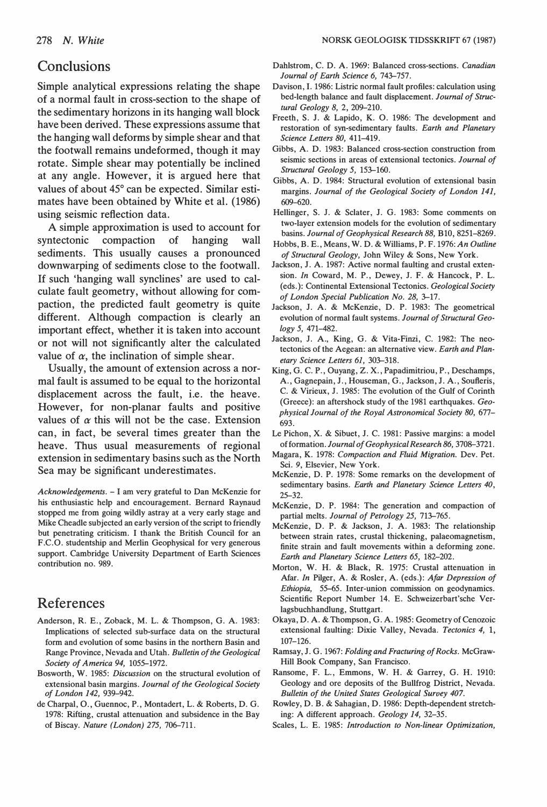### **Conclusions**

Simple analytical expressions relating the shape of a normal fault in cross-section to the shape of the sedimentary horizons in its hanging wall block have been derived. These expressions assume that the hanging wall deforms by simple shear and that the footwall remains undeformed, though it may rotate. Simple shear may potentially be inclined at any angle. However, it is argued here that values of about 45° can be expected. Similar estimates have been obtained by White et al. (1986) using seismic reftection data.

A simple approximation is used to account for syntectonic compaction of hanging wall sediments. This usually causes a pronounced downwarping of sediments dose to the footwall. If such 'hanging wall synclines' are used to calculate fault geometry, without allowing for compaction, the predicted fault geometry is quite different. Although compaction is clearly an important effect, whether it is taken into account or not will not significantly alter the calculated value of  $\alpha$ , the inclination of simple shear.

Usually, the amount of extension across a normal fault is assumed to be equal to the horizontal displacement across the fault, i.e. the heave. However, for non-planar faults and positive values of  $\alpha$  this will not be the case. Extension can, in fact, be several times greater than the heave. Thus usual measurements of regional extension in sedimentary basins such as the North Sea may be significant underestimates.

Acknowledgements. - I am very grateful to Dan McKenzie for his enthusiastic help and encouragement. Bernard Raynaud stopped me from going wildly astray at a very early stage and Mike Cheadle subjected an early version of the script to friendly but penetrating criticism. I thank the British Council for an F.C.O. studentship and Merlin Geophysical for very generous support. Cambridge University Department of Earth Sciences contribution no. 989.

# References

- Anderson, R. E., Zoback, M. L. & Thompson, G. A. 1983: Implications of selected sub-surface data on the structural form and evolution of some basins in the northern Basin and Range Province, Nevada and Utah. Bulletin of the Geological Society of America 94, 1055-1972.
- Bosworth, W. 1985: Discussion on the structural evolution of extensional basin margins. Journal of the Geological Society of London 142, 939-942.
- de Charpal, 0., Guennoc, P., Montadert, L. & Roberts, D. G. 1978: Rifting, crustal attenuation and subsidence in the Bay of Biscay. Nature (London) 275, 706-711.
- Dahlstrom, C. D. A. 1969: Balanced cross-sections. Canadian Journal of Earth Science 6, 743-757.
- Davison, I. 1986: Listric normal fault profiles: calculation using bed-length balance and fault displacement. Journal of Structural Geology 8, 2, 209-210.
- Freeth, S. J. & Lapido, K. O. 1986: The development and restoration of syn-sedimentary faults. Earth and Planetary Science Letters 80, 411-419.
- Gibbs, A. D. 1983: Balanced cross-section construction from seismic sections in areas of extensional tectonics. Journal of Structural Geology 5, 153-160.
- Gibbs, A. D. 1984: Structural evolution of extensional basin margins. Journal of the Geological Society of London 141, 609-620.
- Hellinger, S. J. & Sclater, J. G. 1983: Some comments on two-layer extension models for the evolution of sedimentary basins. Journal of Geophysical Research 88, B10, 8251-8269.
- Hobbs, B. E., Means, W. D. & Williams, P. F. 1976: An Outline of Structural Geology, John Wiley & Sons, New York.
- Jackson, J. A. 1987: Active normal faulting and crustal extension. In Coward, M. P., Dewey, J. F. & Hancock, P. L. (eds. ): Continental Extensional Tectonics. Geological Society of London Special Publication No. 28, 3-17.
- Jackson, J. A. & McKenzie, D. P. 1983: The geometrical evolution of normal fault systems. Journal of Structural Geology 5, 471-482.
- Jackson, J. A., King, G. & Vita-Finzi, C. 1982: The neotectonics of the Aegean: an alternative view. Earth and Planetary Science Letters 61, 303-318.
- King, G. C. P., Ouyang, Z. X., Papadimitriou, P., Deschamps, A., Gagnepain, J., Houseman, G., Jackson, J. A., Soufteris, C. & Virieux, J. 1985: The evolution of the Gulf of Corinth (Greece): an aftershock study of the 1981 earthquakes. Geophysical Journal of the Royal Astronomical Society 80, 677- 693.
- Le Pichon, X. & Sibuet, J. C. 1981: Passive margins: a model of formation. Journal of Geophysical Research 86, 3708-3721.
- Magara, K. 1978: Compaction and Fluid Migration. Dev. Pet. Sei. 9, Elsevier, New York.
- McKenzie, D. P. 1978: Some remarks on the development of sedimentary basins. Earth and Planetary Science Letters 40, 25-32.
- McKenzie, D. P. 1984: The generation and compaction of partial melts. Journal of Petrology 25, 713-765.
- McKenzie, D. P. & Jackson, J. A. 1983: The relationship between strain rates, crustal thickening, palaeomagnetism, finite strain and fault movements within a deforming zone. Earth and Planetary Science Letters 65, 182-202.
- Morton, W. H. & Black, R. 1975: Crustal attenuation in Afar. In Pilger, A. & Rosler, A. (eds.): Afar Depression of Ethiopia, 55-65. Inter-union commission on geodynamics. Scientific Report Number 14. E. Schweizerbart'sche Verlagsbuchhandlung, Stuttgart.
- Okaya, D. A. & Thompson, G. A. 1985: Geometry of Cenozoic extensional faulting: Dixie Valley, Nevada. Tectonics 4, l, 107-126.
- Ramsay, J. G. 1967: Folding and Fracturing of Rocks. McGraw-Hill Book Company, San Francisco.
- Ransome, F. L., Emmons, W. H. & Garrey, G. H. 1910: Geology and ore deposits of the Bullfrog District, Nevada. Bulletin of the United States Geological Survey 407.
- Rowley, D. B. & Sahagian, D. 1986: Depth-dependent stretching: A different approach. Geology 14, 32-35.
- Scales, L. E. 1985: Introduction to Non-linear Optimization,